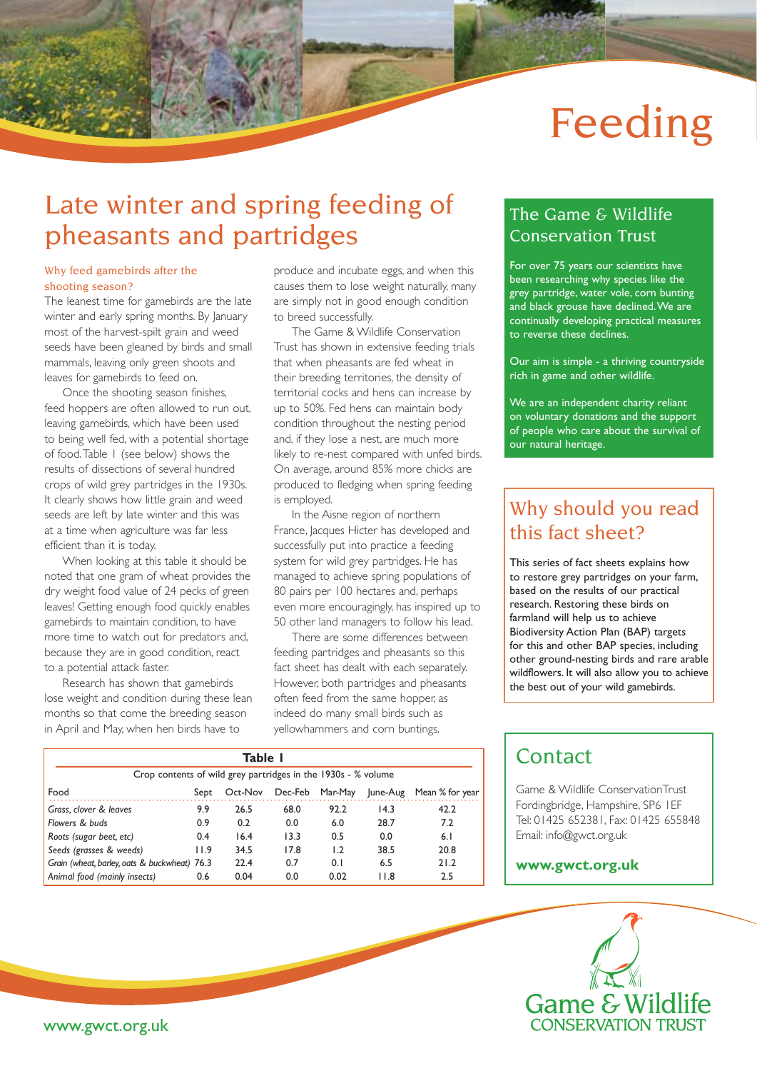# Feeding

# Late winter and spring feeding of pheasants and partridges

#### Why feed gamebirds after the shooting season?

The leanest time for gamebirds are the late winter and early spring months. By January most of the harvest-spilt grain and weed seeds have been gleaned by birds and small mammals, leaving only green shoots and leaves for gamebirds to feed on.

Once the shooting season finishes, feed hoppers are often allowed to run out, leaving gamebirds, which have been used to being well fed, with a potential shortage of food. Table 1 (see below) shows the results of dissections of several hundred crops of wild grey partridges in the 1930s. It clearly shows how little grain and weed seeds are left by late winter and this was at a time when agriculture was far less efficient than it is today.

When looking at this table it should be noted that one gram of wheat provides the dry weight food value of 24 pecks of green leaves! Getting enough food quickly enables gamebirds to maintain condition, to have more time to watch out for predators and, because they are in good condition, react to a potential attack faster.

Research has shown that gamebirds lose weight and condition during these lean months so that come the breeding season in April and May, when hen birds have to

produce and incubate eggs, and when this causes them to lose weight naturally, many are simply not in good enough condition to breed successfully.

The Game & Wildlife Conservation Trust has shown in extensive feeding trials that when pheasants are fed wheat in their breeding territories, the density of territorial cocks and hens can increase by up to 50%. Fed hens can maintain body condition throughout the nesting period and, if they lose a nest, are much more likely to re-nest compared with unfed birds. On average, around 85% more chicks are produced to fledging when spring feeding is employed.

In the Aisne region of northern France, Jacques Hicter has developed and successfully put into practice a feeding system for wild grey partridges. He has managed to achieve spring populations of 80 pairs per 100 hectares and, perhaps even more encouragingly, has inspired up to 50 other land managers to follow his lead.

There are some differences between feeding partridges and pheasants so this fact sheet has dealt with each separately. However, both partridges and pheasants often feed from the same hopper, as indeed do many small birds such as yellowhammers and corn buntings.

### The Game & Wildlife Conservation Trust

For over 75 years our scientists have been researching why species like the grey partridge, water vole, corn bunting and black grouse have declined. We are continually developing practical measures to reverse these declines.

Our aim is simple - a thriving countryside rich in game and other wildlife.

We are an independent charity reliant on voluntary donations and the support of people who care about the survival of our natural heritage.

### Why should you read this fact sheet?

This series of fact sheets explains how to restore grey partridges on your farm, based on the results of our practical research. Restoring these birds on farmland will help us to achieve Biodiversity Action Plan (BAP) targets for this and other BAP species, including other ground-nesting birds and rare arable wildflowers. It will also allow you to achieve the best out of your wild gamebirds.

| Table I                                                       |      |         |      |                 |          |                 |
|---------------------------------------------------------------|------|---------|------|-----------------|----------|-----------------|
| Crop contents of wild grey partridges in the 1930s - % volume |      |         |      |                 |          |                 |
| Food                                                          | Sept | Oct-Nov |      | Dec-Feb Mar-May | June-Aug | Mean % for year |
| Grass, clover & leaves                                        | 9.9  | 26.5    | 68.0 | 92.2            | 14.3     | 42.2            |
| Flowers & buds                                                | 0.9  | 0.2     | 0.0  | 6.0             | 28.7     | 7.2             |
| Roots (sugar beet, etc)                                       | 0.4  | 16.4    | 13.3 | 0.5             | 0.0      | 6.1             |
| Seeds (grasses & weeds)                                       | 11.9 | 34.5    | 17.8 | 1.2             | 38.5     | 20.8            |
| Grain (wheat, barley, oats & buckwheat) 76.3                  |      | 22.4    | 0.7  | 0.1             | 6.5      | 21.2            |
| Animal food (mainly insects)                                  | 0.6  | 0.04    | 0.0  | 0.02            | 11.8     | 2.5             |

### **Contact**

Game & Wildlife ConservationTrust Fordingbridge, Hampshire, SP6 1EF Tel: 01425 652381, Fax: 01425 655848 Email: info@gwct.org.uk

#### **www.gwct.org.uk**